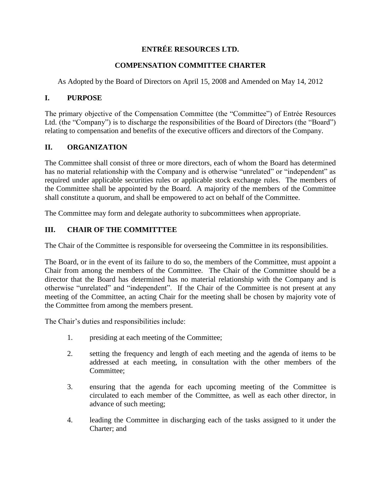# **ENTRÉE RESOURCES LTD.**

# **COMPENSATION COMMITTEE CHARTER**

As Adopted by the Board of Directors on April 15, 2008 and Amended on May 14, 2012

### **I. PURPOSE**

The primary objective of the Compensation Committee (the "Committee") of Entrée Resources Ltd. (the "Company") is to discharge the responsibilities of the Board of Directors (the "Board") relating to compensation and benefits of the executive officers and directors of the Company.

#### **II. ORGANIZATION**

The Committee shall consist of three or more directors, each of whom the Board has determined has no material relationship with the Company and is otherwise "unrelated" or "independent" as required under applicable securities rules or applicable stock exchange rules. The members of the Committee shall be appointed by the Board. A majority of the members of the Committee shall constitute a quorum, and shall be empowered to act on behalf of the Committee.

The Committee may form and delegate authority to subcommittees when appropriate.

# **III. CHAIR OF THE COMMITTTEE**

The Chair of the Committee is responsible for overseeing the Committee in its responsibilities.

The Board, or in the event of its failure to do so, the members of the Committee, must appoint a Chair from among the members of the Committee. The Chair of the Committee should be a director that the Board has determined has no material relationship with the Company and is otherwise "unrelated" and "independent". If the Chair of the Committee is not present at any meeting of the Committee, an acting Chair for the meeting shall be chosen by majority vote of the Committee from among the members present.

The Chair's duties and responsibilities include:

- 1. presiding at each meeting of the Committee;
- 2. setting the frequency and length of each meeting and the agenda of items to be addressed at each meeting, in consultation with the other members of the Committee;
- 3. ensuring that the agenda for each upcoming meeting of the Committee is circulated to each member of the Committee, as well as each other director, in advance of such meeting;
- 4. leading the Committee in discharging each of the tasks assigned to it under the Charter; and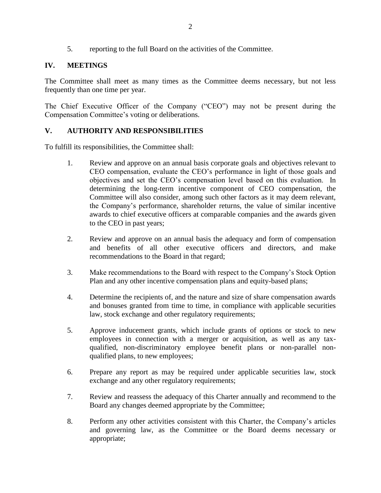5. reporting to the full Board on the activities of the Committee.

#### **IV. MEETINGS**

The Committee shall meet as many times as the Committee deems necessary, but not less frequently than one time per year.

The Chief Executive Officer of the Company ("CEO") may not be present during the Compensation Committee's voting or deliberations.

#### **V. AUTHORITY AND RESPONSIBILITIES**

To fulfill its responsibilities, the Committee shall:

- 1. Review and approve on an annual basis corporate goals and objectives relevant to CEO compensation, evaluate the CEO's performance in light of those goals and objectives and set the CEO's compensation level based on this evaluation. In determining the long-term incentive component of CEO compensation, the Committee will also consider, among such other factors as it may deem relevant, the Company's performance, shareholder returns, the value of similar incentive awards to chief executive officers at comparable companies and the awards given to the CEO in past years;
- 2. Review and approve on an annual basis the adequacy and form of compensation and benefits of all other executive officers and directors, and make recommendations to the Board in that regard;
- 3. Make recommendations to the Board with respect to the Company's Stock Option Plan and any other incentive compensation plans and equity-based plans;
- 4. Determine the recipients of, and the nature and size of share compensation awards and bonuses granted from time to time, in compliance with applicable securities law, stock exchange and other regulatory requirements;
- 5. Approve inducement grants, which include grants of options or stock to new employees in connection with a merger or acquisition, as well as any taxqualified, non-discriminatory employee benefit plans or non-parallel nonqualified plans, to new employees;
- 6. Prepare any report as may be required under applicable securities law, stock exchange and any other regulatory requirements;
- 7. Review and reassess the adequacy of this Charter annually and recommend to the Board any changes deemed appropriate by the Committee;
- 8. Perform any other activities consistent with this Charter, the Company's articles and governing law, as the Committee or the Board deems necessary or appropriate;